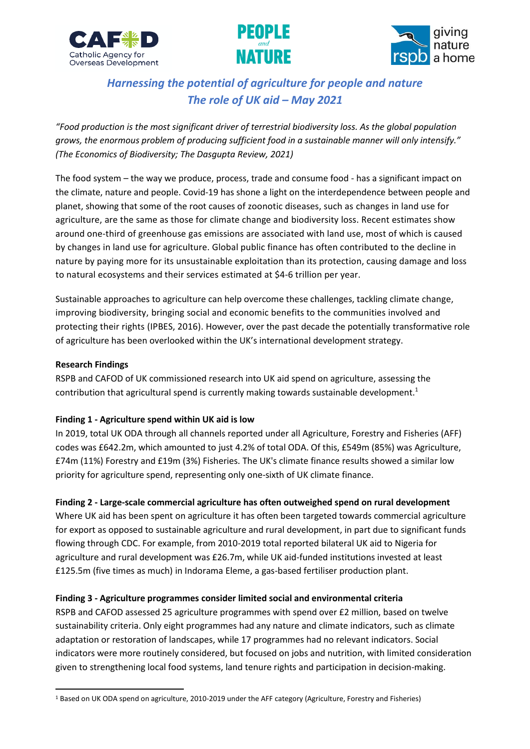





# *Harnessing the potential of agriculture for people and nature The role of UK aid – May 2021*

*"Food production is the most significant driver of terrestrial biodiversity loss. As the global population grows, the enormous problem of producing sufficient food in a sustainable manner will only intensify." (The Economics of Biodiversity; The Dasgupta Review, 2021)*

The food system – the way we produce, process, trade and consume food - has a significant impact on the climate, nature and people. Covid-19 has shone a light on the interdependence between people and planet, showing that some of the root causes of zoonotic diseases, such as changes in land use for agriculture, are the same as those for climate change and biodiversity loss. Recent estimates show around one-third of greenhouse gas emissions are associated with land use, most of which is caused by changes in land use for agriculture. Global public finance has often contributed to the decline in nature by paying more for its unsustainable exploitation than its protection, causing damage and loss to natural ecosystems and their services estimated at \$4-6 trillion per year.

Sustainable approaches to agriculture can help overcome these challenges, tackling climate change, improving biodiversity, bringing social and economic benefits to the communities involved and protecting their rights (IPBES, 2016). However, over the past decade the potentially transformative role of agriculture has been overlooked within the UK's international development strategy.

#### **Research Findings**

RSPB and CAFOD of UK commissioned research into UK aid spend on agriculture, assessing the contribution that agricultural spend is currently making towards sustainable development.<sup>1</sup>

#### **Finding 1 - Agriculture spend within UK aid is low**

In 2019, total UK ODA through all channels reported under all Agriculture, Forestry and Fisheries (AFF) codes was £642.2m, which amounted to just 4.2% of total ODA. Of this, £549m (85%) was Agriculture, £74m (11%) Forestry and £19m (3%) Fisheries. The UK's climate finance results showed a similar low priority for agriculture spend, representing only one-sixth of UK climate finance.

#### **Finding 2 - Large-scale commercial agriculture has often outweighed spend on rural development**

Where UK aid has been spent on agriculture it has often been targeted towards commercial agriculture for export as opposed to sustainable agriculture and rural development, in part due to significant funds flowing through CDC. For example, from 2010-2019 total reported bilateral UK aid to Nigeria for agriculture and rural development was £26.7m, while UK aid-funded institutions invested at least £125.5m (five times as much) in Indorama Eleme, a gas-based fertiliser production plant.

#### **Finding 3 - Agriculture programmes consider limited social and environmental criteria**

RSPB and CAFOD assessed 25 agriculture programmes with spend over £2 million, based on twelve sustainability criteria. Only eight programmes had any nature and climate indicators, such as climate adaptation or restoration of landscapes, while 17 programmes had no relevant indicators. Social indicators were more routinely considered, but focused on jobs and nutrition, with limited consideration given to strengthening local food systems, land tenure rights and participation in decision-making.

<sup>1</sup> Based on UK ODA spend on agriculture, 2010-2019 under the AFF category (Agriculture, Forestry and Fisheries)